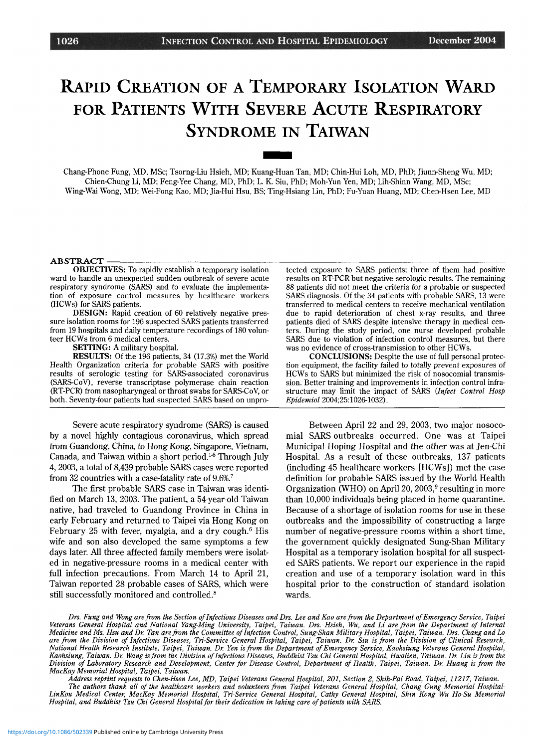# RAPID CREATION OF A TEMPORARY ISOLATION WARD FOR PATIENTS WITH SEVERE ACUTE RESPIRATORY SYNDROME IN TAIWAN

Chang-Phone Fung, MD, MSc; Tsorng-Liu Hsieh, MD; Kuang-Huan Tan, MD; Chin-Hui Loh, MD, PhD; Jiunn-Sheng Wu, MD; Chien-Chung Li, MD; Feng-Yee Chang, MD, PhD; L. K. Siu, PhD; Moh-Yun Yen, MD; Lih-Shinn Wang, MD, MSc; Wing-Wai Wong, MD; Wei-Fong Kao, MD; Jia-Hui Hsu, BS; Ting-Hsiang Lin, PhD; Fu-Yuan Huang, MD; Chen-Hsen Lee, MD

**ABSTRACT** *CONDECTIVES:* To rapidly establish a temporary isolation ward to handle an unexpected sudden outbreak of severe acute<br>respiratory syndrome (SARS) and to evaluate the implementa-<br>tion of exposure control measures by healthcare workers<br>(HCWs) for SARS patients.<br>DESIGN: Rapid creat

sure isolation rooms for 196 suspected SARS patients transferred from 19 hospitals and daily temperature recordings of 180 volun- teer HCWs from 6 medical centers.

**SETTING:** A military hospital.

**RESULTS:** Of the 196 patients, 34 (17.3%) met the World results of serologic testing for SARS-associated coronavirus<br>(SARS-CoV), reverse transcriptase polymerase chain reaction<br>(RT-PCR) from nasopharyngeal or throat swabs for SARS-CoV, or<br>both. Seventy-four patients had suspect

Severe acute respiratory syndrome (SARS) is caused by a novel highly contagious coronavirus, which spread from Guandong, China, to Hong Kong, Singapore, Vietnam, Canada, and Taiwan within a short period.<sup>16</sup> Through July 4, 2003, a total of 8,439 probable SARS cases were reported from 32 countries with a case-fatality rate of 9.6%.7

The first probable SARS case in Taiwan was identified on March 13, 2003. The patient, a 54-year-old Taiwan native, had traveled to Guandong Province in China in early February and returned to Taipei via Hong Kong on February 25 with fever, myalgia, and a dry cough.<sup>6</sup> His wife and son also developed the same symptoms a few days later. All three affected family members were isolated in negative-pressure rooms in a medical center with full infection precautions. From March 14 to April 21, Taiwan reported 28 probable cases of SARS, which were still successfully monitored and controlled.<sup>8</sup>

tected exposure to SARS patients; three of them had positive results on RT-PCR but negative serologic results. The remaining 88 patients did not meet the criteria for a probable or suspected transferred to medical centers to receive mechanical ventilation<br>due to rapid deterioration of chest x-ray results, and three<br>patients died of SARS despite intensive therapy in medical cen-<br>ters. During the study period, o

**CONCLUSIONS:** Despite the use of full personal protection equipment, the facility failed to totally prevent exposures of HCWs to SARS but minimized the risk of nosocomial transmission. Better training and improvements in infection control infra-<br>structure may limit the impact of SARS (*Infect Control Hosp Epidemiol* 2004;25:1026-1032).

Between April 22 and 29, 2003, two major nosocomial SARS outbreaks occurred. One was at Taipei Municipal Hoping Hospital and the other was at Jen-Chi Hospital. As a result of these outbreaks, 137 patients (including 45 healthcare workers [HCWs]) met the case definition for probable SARS issued by the World Health Organization (WHO) on April 20, 2003,<sup>9</sup> resulting in more than 10,000 individuals being placed in home quarantine. Because of a shortage of isolation rooms for use in these outbreaks and the impossibility of constructing a large number of negative-pressure rooms within a short time, the government quickly designated Sung-Shan Military Hospital as a temporary isolation hospital for all suspected SARS patients. We report our experience in the rapid creation and use of a temporary isolation ward in this hospital prior to the construction of standard isolation wards.

*Drs. Fung and Wong are from the Section of Infectious Diseases and Drs. Lee and Kao are from the Department of Emergency Service, Taipei Veterans General Hospital and National Yang-Ming University, Taipei, Taiwan. Drs. Hsieh, Wu, and Li are from the Department of Internal*  Medicine and Ms. Hsu and Dr. Tan are from the Committee of Infection Control, Sung-Shan Military Hospital, Taipei, Taiwan. Drs. Chang and Lo<br>are from the Division of Infectious Diseases, Tri-Service General Hospital, Taipe *National Health Research Institute, Taipei, Taiwan. Dr. Yen is from the Department of Emergency Service, Kaohsiung Veterans General Hospital, Kaohsiung, Taiwan. Dr. Wang is from the Division of Infectious Diseases, Buddhist Tzu Chi General Hospital, Hwalien, Taiwan. Dr. Lin is from the Division of Laboratory Research and Development, Center for Disease Control, Department of Health, Taipei, Taiwan. Dr. Huang is from the MacKay Memorial Hospital, Taipei, Taiwan.* 

*Address reprint requests to Chen-Hsen Lee, MD, Taipei Veterans General Hospital, 201, Section 2, Shih-Pai Road, Taipei, 11217, Taiwan. The authors thank all of the healthcare workers and volunteers from Taipei Veterans General Hospital, Chang Gung Memorial Hospital-LinKou Medical Center, MacKay Memorial Hospital, Tri-Service General Hospital, Cathy General Hospital, Shin Kong Wu Ho-Su Memorial Hospital, and Buddhist Tzu Chi General Hospital for their dedication in taking care of patients with SARS.*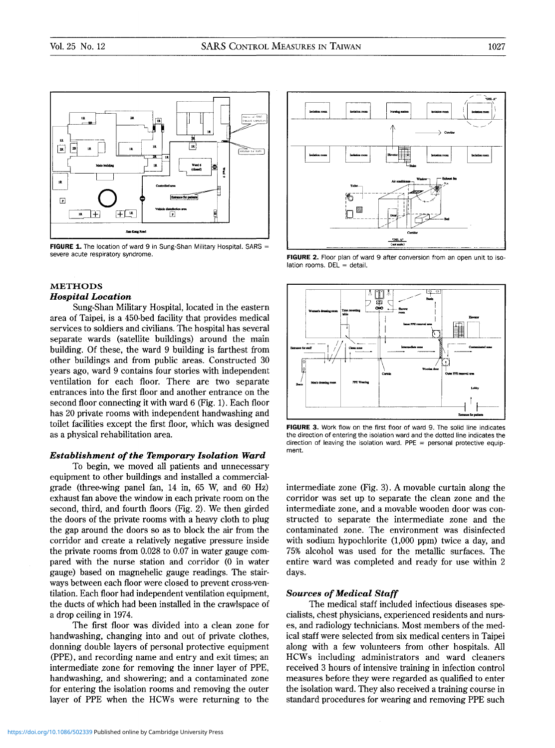

**FIGURE 1.** The location of ward 9 in Sung-Shan Military Hospital. SARS = severe acute respiratory syndrome.

#### METHODS *Hospital Location*

Sung-Shan Military Hospital, located in the eastern area of Taipei, is a 450-bed facility that provides medical services to soldiers and civilians. The hospital has several separate wards (satellite buildings) around the main building. Of these, the ward 9 building is farthest from other buildings and from public areas. Constructed 30 years ago, ward 9 contains four stories with independent ventilation for each floor. There are two separate entrances into the first floor and another entrance on the second floor connecting it with ward 6 (Fig. 1). Each floor has 20 private rooms with independent handwashing and toilet facilities except the first floor, which was designed as a physical rehabilitation area.

#### *Establishment of the Temporary Isolation Ward*

To begin, we moved all patients and unnecessary equipment to other buildings and installed a commercialgrade (three-wing panel fan, 14 in, 65 W, and 60 Hz) exhaust fan above the window in each private room on the second, third, and fourth floors (Fig. 2). We then girded the doors of the private rooms with a heavy cloth to plug the gap around the doors so as to block the air from the corridor and create a relatively negative pressure inside the private rooms from 0.028 to 0.07 in water gauge compared with the nurse station and corridor (0 in water gauge) based on magnehelic gauge readings. The stairways between each floor were closed to prevent cross-ventilation. Each floor had independent ventilation equipment, the ducts of which had been installed in the crawlspace of a drop ceiling in 1974.

The first floor was divided into a clean zone for handwashing, changing into and out of private clothes, donning double layers of personal protective equipment (PPE), and recording name and entry and exit times; an intermediate zone for removing the inner layer of PPE, handwashing, and showering; and a contaminated zone for entering the isolation rooms and removing the outer layer of PPE when the HCWs were returning to the



FIGURE 2. Floor plan of ward 9 after conversion from an open unit to iso $lation$  rooms.  $DEL = detail$ .



**FIGURE 3.** Work flow on the first floor of ward 9. The solid line indicates the direction of entering the isolation ward and the dotted line indicates the direction of leaving the isolation ward. PPE = personal protective equipment.

intermediate zone (Fig. 3). A movable curtain along the corridor was set up to separate the clean zone and the intermediate zone, and a movable wooden door was constructed to separate the intermediate zone and the contaminated zone. The environment was disinfected with sodium hypochlorite (1,000 ppm) twice a day, and 75% alcohol was used for the metallic surfaces. The entire ward was completed and ready for use within 2 days.

### *Sources of Medical Staff*

The medical staff included infectious diseases specialists, chest physicians, experienced residents and nurses, and radiology technicians. Most members of the medical staff were selected from six medical centers in Taipei along with a few volunteers from other hospitals. All HCWs including administrators and ward cleaners received 3 hours of intensive training in infection control measures before they were regarded as qualified to enter the isolation ward. They also received a training course in standard procedures for wearing and removing PPE such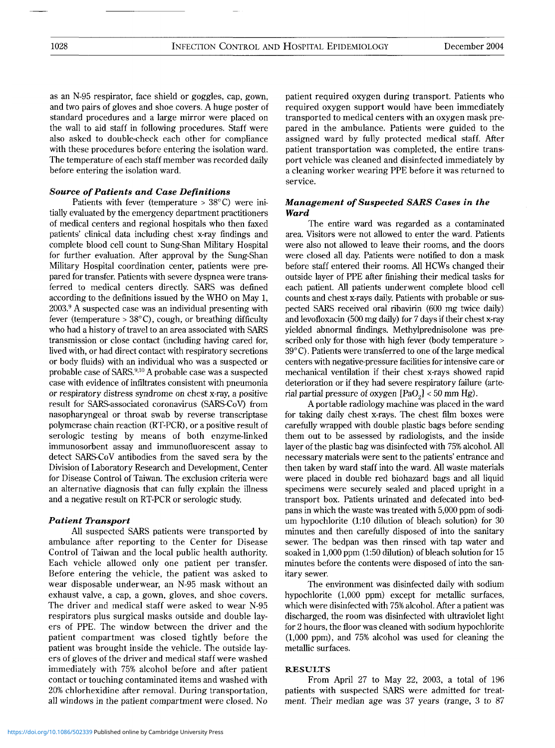as an N-95 respirator, face shield or goggles, cap, gown, and two pairs of gloves and shoe covers. A huge poster of standard procedures and a large mirror were placed on the wall to aid staff in following procedures. Staff were also asked to double-check each other for compliance with these procedures before entering the isolation ward. The temperature of each staff member was recorded daily before entering the isolation ward.

#### *Source of Patients and Case Definitions*

Patients with fever (temperature  $> 38^{\circ}$ C) were initially evaluated by the emergency department practitioners of medical centers and regional hospitals who then faxed patients' clinical data including chest x-ray findings and complete blood cell count to Sung-Shan Military Hospital for further evaluation. After approval by the Sung-Shan Military Hospital coordination center, patients were prepared for transfer. Patients with severe dyspnea were transferred to medical centers directly. SARS was defined according to the definitions issued by the WHO on May 1, 2003.9 A suspected case was an individual presenting with fever (temperature  $> 38^{\circ}$ C), cough, or breathing difficulty who had a history of travel to an area associated with SARS transmission or close contact (including having cared for, lived with, or had direct contact with respiratory secretions or body fluids) with an individual who was a suspected or or body minus) with an individual who was a suspected of<br>probable case of SARS 9.10 A probable case was a suspected case with evidence of infiltrates consistent with pneumonia or respiratory distress syndrome on chest x-ray, a positive result for SARS-associated coronavirus (SARS-CoV) from nasopharyngeal or throat swab by reverse transcriptase polymerase chain reaction (RT-PCR), or a positive result of serologic testing by means of both enzyme-linked immunosorbent assay and immunofluorescent assay to detect SARS-CoV antibodies from the saved sera by the Division of Laboratory Research and Development, Center for Disease Control of Taiwan. The exclusion criteria were for Disease Control of Taiwan. The exclusion criteria were<br>an alternative diagnosis that can fully explain the illness and a negative result on RT-PCR or serologic study.

#### *Patient Transport*

All suspected SARS patients were transported by ambulance after reporting to the Center for Disease Control of Taiwan and the local public health authority. Each vehicle allowed only one patient per transfer. Before entering the vehicle, the patient was asked to wear disposable underwear, an N-95 mask without an exhaust valve, a cap, a gown, gloves, and shoe covers. The driver and medical staff were asked to wear N-95 respirators plus surgical masks outside and double layers of PPE. The window between the driver and the patient compartment was closed tightly before the patient was brought inside the vehicle. The outside layers of gloves of the driver and medical staff were washed immediately with 75% alcohol before and after patient contact or touching contaminated items and washed with 20% chlorhexidine after removal. During transportation, all windows in the patient compartment were closed. No patient required oxygen during transport. Patients who required oxygen support would have been immediately transported to medical centers with an oxygen mask prepared in the ambulance. Patients were guided to the assigned ward by fully protected medical staff. After patient transportation was completed, the entire transport vehicle was cleaned and disinfected immediately by a cleaning worker wearing PPE before it was returned to service.

### *Management of Suspected SARS Cases in the Ward*

The entire ward was regarded as a contaminated area. Visitors were not allowed to enter the ward. Patients were also not allowed to leave their rooms, and the doors were closed all day. Patients were notified to don a mask before staff entered their rooms. All HCWs changed their outside layer of PPE after finishing their medical tasks for each patient. All patients underwent complete blood cell counts and chest x-rays daily. Patients with probable or suspected SARS received oral ribavirin (600 mg twice daily) and levofloxacin (500 mg daily) for 7 days if their chest x-ray yielded abnormal findings. Methylprednisolone was prescribed only for those with high fever (body temperature > 39° C). Patients were transferred to one of the large medical centers with negative-pressure facilities for intensive care or mechanical ventilation if their chest x-rays showed rapid deterioration or if they had severe respiratory failure (arterial partial pressure of oxygen  $[PaO<sub>2</sub>] < 50$  mm Hg).

A portable radiology machine was placed in the ward for taking daily chest x-rays. The chest film boxes were carefully wrapped with double plastic bags before sending them out to be assessed by radiologists, and the inside layer of the plastic bag was disinfected with 75% alcohol. All necessary materials were sent to the patients' entrance and then taken by ward staff into the ward. All waste materials were placed in double red biohazard bags and all liquid specimens were securely sealed and placed upright in a transport box. Patients urinated and defecated into bedpans in which the waste was treated with 5,000 ppm of sodium hypochlorite (1:10 dilution of bleach solution) for 30 minutes and then carefully disposed of into the sanitary sewer. The bedpan was then rinsed with tap water and soaked in 1,000 ppm (1:50 dilution) of bleach solution for 15 minutes before the contents were disposed of into the sanitary sewer.

The environment was disinfected daily with sodium hypochlorite (1,000 ppm) except for metallic surfaces, which were disinfected with 75% alcohol. After a patient was discharged, the room was disinfected with ultraviolet light for 2 hours, the floor was cleaned with sodium hypochlorite (1,000 ppm), and 75% alcohol was used for cleaning the metallic surfaces.

#### **RESULTS**

From April 27 to May 22, 2003, a total of 196 patients with suspected SARS were admitted for treatment. Their median age was 37 years (range, 3 to 87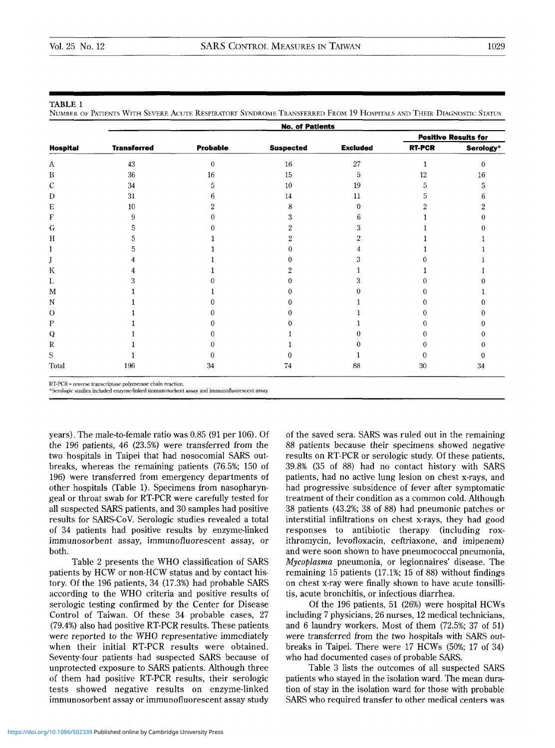| в<br>г |  |
|--------|--|
|--------|--|

NUMBER OF PATIENTS WITH SEVERE ACUTE RESPIRATORY SYNDROME TRANSFERRED FROM 19 HOSPITALS AND THEIR DIAGNOSTIC STATUS

| <b>Hospital</b> | <b>No. of Patlents</b> |          |                  |                 |               |                             |  |
|-----------------|------------------------|----------|------------------|-----------------|---------------|-----------------------------|--|
|                 |                        |          |                  |                 |               | <b>Positive Results for</b> |  |
|                 | <b>Transferred</b>     | Probable | <b>Suspected</b> | <b>Excluded</b> | <b>RT-PCR</b> | Serology*                   |  |
| A               | 43                     | $\theta$ | 16               | 27              |               | Ω                           |  |
| В               | 36                     | 16       | 15               | 5               | 12            | 16                          |  |
| С               | 34                     | 5        | 10               | 19              | 5             | 5                           |  |
| D               | 31                     | 6        | 14               | 11              | 5             | 6                           |  |
| E               | 10                     | 2        | 8                | 0               |               |                             |  |
| F               | 9                      | Ω        |                  |                 |               |                             |  |
| G               | h                      |          |                  |                 |               |                             |  |
| H               | h                      |          |                  |                 |               |                             |  |
|                 |                        |          |                  |                 |               |                             |  |
|                 |                        |          |                  |                 |               |                             |  |
| K               |                        |          |                  |                 |               |                             |  |
| L               |                        |          |                  |                 |               |                             |  |
| M               |                        |          |                  |                 |               |                             |  |
| N               |                        |          |                  |                 |               |                             |  |
| O               |                        |          |                  |                 |               |                             |  |
| P               |                        |          |                  |                 |               | 0                           |  |
| Q               |                        |          |                  |                 |               |                             |  |
| R               |                        |          |                  |                 |               |                             |  |
| S               |                        |          |                  |                 |               | 0                           |  |
| Total           | 196                    | 34       | 74               | 88              | 30            | 34                          |  |

RT-PCR = reverse transcriptase polymerase chain reaction. \*Serologic studies included enzyme-iinked immunosorbent assay and immunofluorescent assay.

years). The male-to-female ratio was 0.85 (91 per 106). Of the 196 patients, 46 (23.5%) were transferred from the two hospitals in Taipei that had nosocomial SARS outbreaks, whereas the remaining patients (76.5%; 150 of 196) were transferred from emergency departments of other hospitals (Table 1). Specimens from nasopharyngeal or throat swab for RT-PCR were carefully tested for all suspected SARS patients, and 30 samples had positive results for SARS-CoV. Serologic studies revealed a total of 34 patients had positive results by enzyme-linked immunosorbent assay, immunofluorescent assay, or both.

Table 2 presents the WHO classification of SARS patients by HCW or non-HCW status and by contact history. Of the 196 patients, 34 (17.3%) had probable SARS according to the WHO criteria and positive results of serologic testing confirmed by the Center for Disease Control of Taiwan. Of these 34 probable cases, 27 (79.4%) also had positive RT-PCR results. These patients were reported to the WHO representative immediately when their initial RT-PCR results were obtained. Seventy-four patients had suspected SARS because of unprotected exposure to SARS patients. Although three of them had positive RT-PCR results, their serologic tests showed negative results on enzyme-linked immunosorbent assay or immunofluorescent assay study

of the saved sera. SARS was ruled out in the remaining 88 patients because their specimens showed negative results on RT-PCR or serologic study. Of these patients, 39.8% (35 of 88) had no contact history with SARS patients, had no active lung lesion on chest x-rays, and had progressive subsidence of fever after symptomatic treatment of their condition as a common cold. Although 38 patients (43.2%; 38 of 88) had pneumonic patches or interstitial infiltrations on chest x-rays, they had good responses to antibiotic therapy (including roxithromycin, levofloxacin, ceftriaxone, and imipenem) and were soon shown to have pneumococcal pneumonia, *Mycoplasma* pneumonia, or legionnaires' disease. The remaining 15 patients (17.1%; 15 of 88) without findings on chest x-ray were finally shown to have acute tonsillitis, acute bronchitis, or infectious diarrhea.

Of the 196 patients, 51 (26%) were hospital HCWs including 7 physicians, 26 nurses, 12 medical technicians, and 6 laundry workers. Most of them (72.5%; 37 of 51) were transferred from the two hospitals with SARS outbreaks in Taipei. There were 17 HCWs (50%; 17 of 34) who had documented cases of probable SARS.

Table 3 lists the outcomes of all suspected SARS patients who stayed in the isolation ward. The mean duration of stay in the isolation ward for those with probable SARS who required transfer to other medical centers was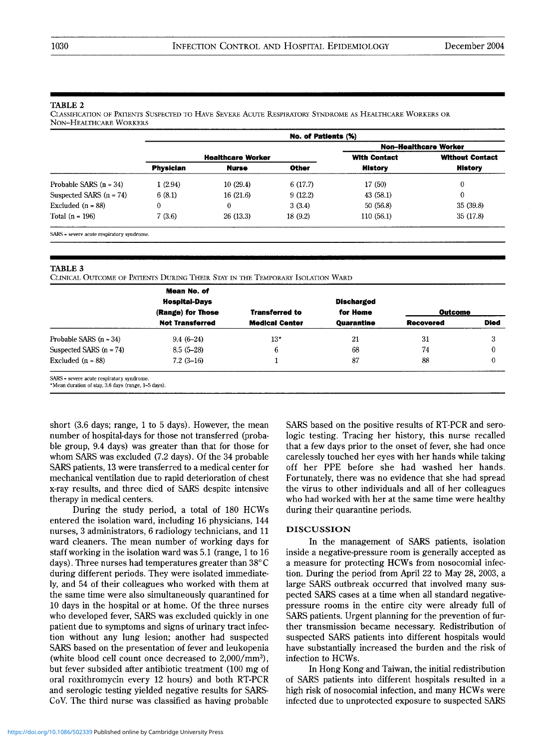#### **TABLE 2**

CLASSIFICATION OF PATIENTS SUSPECTED TO HAVE SEVERE ACUTE RESPIRATORY SYNDROME AS HEALTHCARE WORKERS OR NON-HEALTHCARE WORKERS

|                           | No. of Patients (%)          |              |              |                     |                        |  |
|---------------------------|------------------------------|--------------|--------------|---------------------|------------------------|--|
|                           | <b>Non-Healthcare Worker</b> |              |              |                     |                        |  |
|                           | <b>Healthcare Worker</b>     |              |              | <b>With Contact</b> | <b>Without Contact</b> |  |
|                           | <b>Physician</b>             | <b>Nurse</b> | <b>Other</b> | <b>History</b>      | <b>History</b>         |  |
| Probable SARS $(n = 34)$  | 1(2.94)                      | 10(29.4)     | 6(17.7)      | 17 (50)             | $\mathbf 0$            |  |
| Suspected SARS $(n = 74)$ | 6(8.1)                       | 16(21.6)     | 9(12.2)      | 43(58.1)            | 0                      |  |
| Excluded $(n = 88)$       | 0                            | $\bf{0}$     | 3(3.4)       | 50(56.8)            | 35(39.8)               |  |
| Total $(n = 196)$         | 7(3.6)                       | 26 (13.3)    | 18(9.2)      | 110 (56.1)          | 35 (17.8)              |  |
|                           |                              |              |              |                     |                        |  |

#### SARS - severe acute respiratory syndrome.

**TABLE 3** 

CLINICAL OUTCOME OF PATIENTS DURING THEIR STAY IN THE TEMPORARY ISOLATION WARD

|                                           | Mean No. of<br><b>Hospital-Days</b><br>(Range) for Those | <b>Transferred to</b> | <b>Discharged</b><br>for Home | Outcome          |             |
|-------------------------------------------|----------------------------------------------------------|-----------------------|-------------------------------|------------------|-------------|
|                                           | <b>Not Transferred</b>                                   | <b>Medical Center</b> | <b>Quarantine</b>             | <b>Recovered</b> | <b>Died</b> |
| Probable SARS $(n = 34)$                  | $9.4(6-24)$                                              | $13*$                 | 21                            | 31               | 3           |
| Suspected SARS $(n = 74)$                 | $8.5(5-28)$                                              | 6                     | 68                            | 74               | 0           |
| Excluded $(n = 88)$                       | $7.2(3-16)$                                              |                       | 87                            | 88               | $\theta$    |
| SARS - severe acute respiratory syndrome. |                                                          |                       |                               |                  |             |

SARS - severe acute respiratory syndrome. \*Mean duration of stay, 3.6 days (range, 1-5 days).

short (3.6 days; range, 1 to 5 days). However, the mean number of hospital-days for those not transferred (probable group, 9.4 days) was greater than that for those for whom SARS was excluded (7.2 days). Of the 34 probable SARS patients, 13 were transferred to a medical center for mechanical ventilation due to rapid deterioration of chest x-ray results, and three died of SARS despite intensive therapy in medical centers.

During the study period, a total of 180 HCWs entered the isolation ward, including 16 physicians, 144 nurses, 3 administrators, 6 radiology technicians, and 11 ward cleaners. The mean number of working days for staff working in the isolation ward was 5.1 (range, 1 to 16 days). Three nurses had temperatures greater than 38°C during different periods. They were isolated immediately, and 54 of their colleagues who worked with them at the same time were also simultaneously quarantined for 10 days in the hospital or at home. Of the three nurses who developed fever, SARS was excluded quickly in one patient due to symptoms and signs of urinary tract infection without any lung lesion; another had suspected SARS based on the presentation of fever and leukopenia  $\frac{1}{2}$  and  $\frac{1}{2}$  count once decreased to  $\frac{2000}{\text{mm}^3}$ but fever subsided after antibiotic treatment (100 mg of oral roxithromycin every 12 hours) and both RT-PCR and serologic testing yielded negative results for SARS-CoV. The third nurse was classified as having probable

SARS based on the positive results of RT-PCR and serologic testing. Tracing her history, this nurse recalled that a few days prior to the onset of fever, she had once carelessly touched her eyes with her hands while taking off her PPE before she had washed her hands. Fortunately, there was no evidence that she had spread the virus to other individuals and all of her colleagues who had worked with her at the same time were healthy during their quarantine periods.

#### DISCUSSION

In the management of SARS patients, isolation inside a negative-pressure room is generally accepted as a measure for protecting HCWs from nosocomial infection. During the period from April 22 to May 28, 2003, a large SARS outbreak occurred that involved many suspected SARS cases at a time when all standard negativepressure rooms in the entire city were already full of SARS patients. Urgent planning for the prevention of further transmission became necessary. Redistribution of suspected SARS patients into different hospitals would have substantially increased the burden and the risk of infection to HCWs.

In Hong Kong and Taiwan, the initial redistribution of SARS patients into different hospitals resulted in a high risk of nosocomial infection, and many HCWs were infected due to unprotected exposure to suspected SARS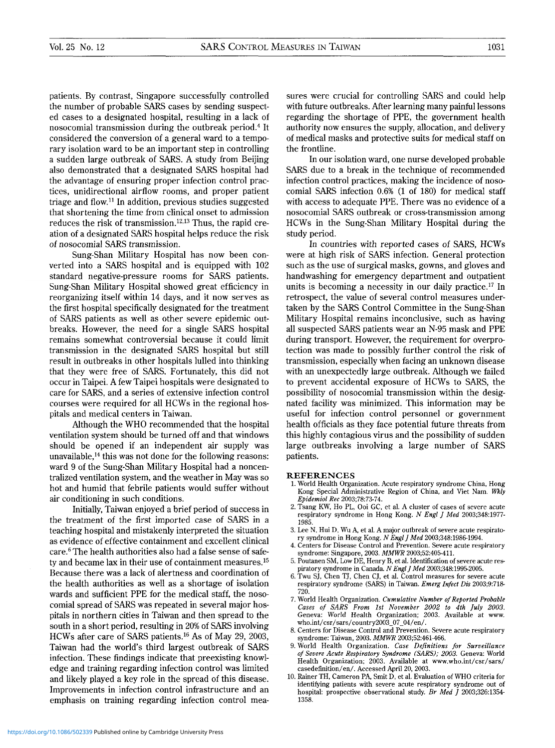patients. By contrast, Singapore successfully controlled the number of probable SARS cases by sending suspected cases to a designated hospital, resulting in a lack of nosocomial transmission during the outbreak period.4 It considered the conversion of a general ward to a temporary isolation ward to be an important step in controlling a sudden large outbreak of SARS. A study from Beijing also demonstrated that a designated SARS hospital had the advantage of ensuring proper infection control practices, unidirectional airflow rooms, and proper patient triage and flow.11 In addition, previous studies suggested that shortening the time from clinical onset to admission reduces the risk of transmission.<sup>12,13</sup> Thus, the rapid creation of a designated SARS hospital helps reduce the risk of nosocomial SARS transmission.

Sung-Shan Military Hospital has now been converted into a SARS hospital and is equipped with 102 standard negative-pressure rooms for SARS patients. Sung-Shan Military Hospital showed great efficiency in reorganizing itself within 14 days, and it now serves as the first hospital specifically designated for the treatment of SARS patients as well as other severe epidemic outbreaks. However, the need for a single SARS hospital remains somewhat controversial because it could limit transmission in the designated SARS hospital but still result in outbreaks in other hospitals lulled into thinking that they were free of SARS. Fortunately, this did not occur in Taipei. A few Taipei hospitals were designated to care for SARS, and a series of extensive infection control courses were required for all HCWs in the regional hospitals and medical centers in Taiwan.

Although the WHO recommended that the hospital ventilation system should be turned off and that windows should be opened if an independent air supply was unavailable,<sup>14</sup> this was not done for the following reasons: ward 9 of the Sung-Shan Military Hospital had a noncentralized ventilation system, and the weather in May was so hot and humid that febrile patients would suffer without air conditioning in such conditions.

Initially, Taiwan enjoyed a brief period of success in the treatment of the first imported case of SARS in a teaching hospital and mistakenly interpreted the situation as evidence of effective containment and excellent clinical care.<sup>6</sup> The health authorities also had a false sense of safety and became lax in their use of containment measures.<sup>15</sup> Because there was a lack of alertness and coordination of the health authorities as well as a shortage of isolation wards and sufficient PPE for the medical staff, the nosocomial spread of SARS was repeated in several major hospitals in northern cities in Taiwan and then spread to the south in a short period, resulting in 20% of SARS involving HCWs after care of SARS patients.16 As of May 29, 2003, Taiwan had the world's third largest outbreak of SARS infection. These findings indicate that preexisting knowledge and training regarding infection control was limited and likely played a key role in the spread of this disease. Improvements in infection control infrastructure and an emphasis on training regarding infection control measures were crucial for controlling SARS and could help with future outbreaks. After learning many painful lessons regarding the shortage of PPE, the government health authority now ensures the supply, allocation, and delivery of medical masks and protective suits for medical staff on the frontline.

In our isolation ward, one nurse developed probable SARS due to a break in the technique of recommended infection control practices, making the incidence of nosocomial SARS infection 0.6% (1 of 180) for medical staff with access to adequate PPE. There was no evidence of a nosocomial SARS outbreak or cross-transmission among HCWs in the Sung-Shan Military Hospital during the study period.

In countries with reported cases of SARS, HCWs were at high risk of SARS infection. General protection such as the use of surgical masks, gowns, and gloves and handwashing for emergency department and outpatient units is becoming a necessity in our daily practice.<sup>17</sup> In retrospect, the value of several control measures undertaken by the SARS Control Committee in the Sung-Shan Military Hospital remains inconclusive, such as having all suspected SARS patients wear an N-95 mask and PPE during transport. However, the requirement for overprotection was made to possibly further control the risk of transmission, especially when facing an unknown disease with an unexpectedly large outbreak. Although we failed to prevent accidental exposure of HCWs to SARS, the possibility of nosocomial transmission within the designated facility was minimized. This information may be useful for infection control personnel or government health officials as they face potential future threats from this highly contagious virus and the possibility of sudden large outbreaks involving a large number of SARS patients.

#### **REFERENCE S**

- 1. World Health Organization. Acute respiratory syndrome China, Hong Kong Special Administrative Region of China, and Viet Nam. *Wkly Epidemiol Rec* 2003;78:73-74.
- 2. Tsang KW, Ho PL, Ooi GC, et al. A cluster of cases of severe acute respiratory syndrome in Hong Kong. *N Engl J Med* 2003;348:1977- 1985.
- 3. Lee N, Hui D, Wu A, et al. A major outbreak of severe acute respiratory syndrome in Hong Kong. *N Engl J Med* 2003;348:1986-1994.
- 4. Centers for Disease Control and Prevention. Severe acute respiratory syndrome: Singapore, 2003. *MMWR* 2003;52:405-411.
- 5. Poutanen SM, Low DE, Henry B, et al. Identification of severe acute respiratory syndrome in Canada. *N Engl J Med* 2003;348:1995-2005.
- 6. Twu SJ, Chen TJ, Chen CJ, et al. Control measures for severe acute respiratory syndrome (SARS) in Taiwan. *Emerg Infect Dis* 2003;9:718- 720.
- 7. World Health Organization. *Cumulative Number of Reported Probable Cases of SARS From 1st November 2002 to 4th July 2003.*  Geneva: World Health Organization; 2003. Available at www. who.int/csr/sars/country2003\_07\_04/en/.
- 8. Centers for Disease Control and Prevention. Severe acute respiratory syndrome: Taiwan, 2003. *MMWR* 2003;52:461-466.
- 9. World Health Organization. *Cas[e Definitions for Sur](http://www.who.int/csr/sars/)veillance of Severe Acute Respiratory Syndrome (SARS); 2003.* Geneva: World Health Organization; 2003. Available at www.who.int/csr/sars/ casedefinition/en/. Accessed April 20, 2003.
- 10. Rainer TH, Cameron PA, Smit D, et al. Evaluation of WHO criteria for identifying patients with severe acute respiratory syndrome out of hospital: prospective observational study. *Br Med J* 2003;326:1354- 1358.